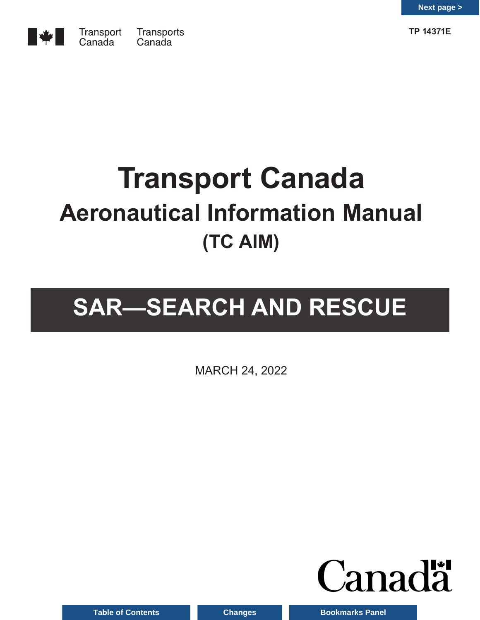

**TP 14371E**

# **Transport Canada Aeronautical Information Manual (TC AIM)**

# **SAR—SEARCH AND RESCUE**

MARCH 24, 2022



**Table of Contents Changes Bookmarks Panel**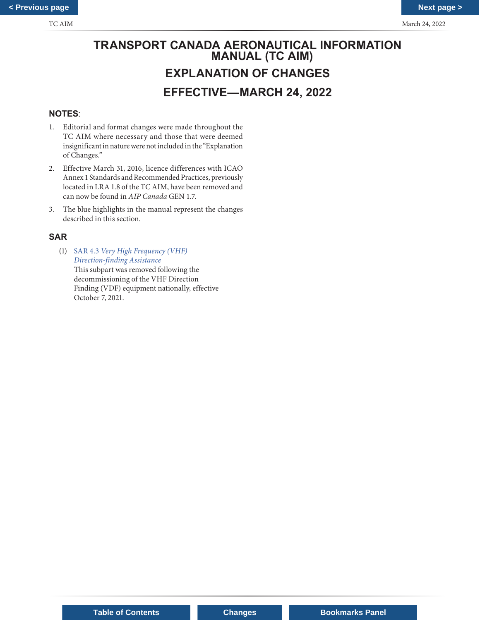# **TRANSPORT CANADA AERONAUTICAL INFORMATION MANUAL (TC AIM) EXPLANATION OF CHANGES EFFECTIVE—MARCH 24, 2022**

## **NOTES**:

- 1. Editorial and format changes were made throughout the TC AIM where necessary and those that were deemed insignificant in nature were not included in the "Explanation of Changes."
- 2. Effective March 31, 2016, licence differences with ICAO Annex 1 Standards and Recommended Practices, previously located in LRA 1.8 of the TC AIM, have been removed and can now be found in *AIP Canada* GEN 1.7.
- 3. The blue highlights in the manual represent the changes described in this section.

## **SAR**

(1) SAR 4.3 *Very High Frequency (VHF) Direction-finding Assistance* This subpart was removed following the decommissioning of the VHF Direction Finding (VDF) equipment nationally, effective October 7, 2021.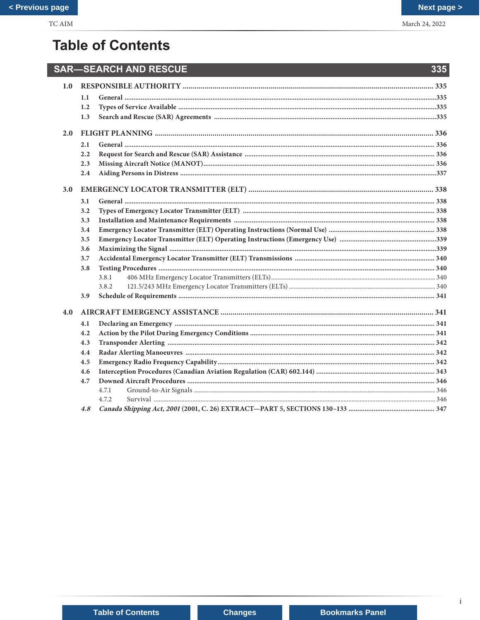# **Table of Contents**

| 1.1   |                                                                               |
|-------|-------------------------------------------------------------------------------|
| 1.2   |                                                                               |
| 1.3   |                                                                               |
|       |                                                                               |
| 2.1   |                                                                               |
| 2.2   |                                                                               |
| 2.3   |                                                                               |
| 2.4   |                                                                               |
|       |                                                                               |
|       |                                                                               |
|       |                                                                               |
|       |                                                                               |
|       |                                                                               |
|       |                                                                               |
|       |                                                                               |
|       |                                                                               |
|       |                                                                               |
|       |                                                                               |
|       |                                                                               |
|       |                                                                               |
|       |                                                                               |
|       |                                                                               |
| 4.1   |                                                                               |
| 4.2   |                                                                               |
| 4.3   |                                                                               |
| 4.4   |                                                                               |
| 4.5   |                                                                               |
| 4.6   |                                                                               |
| 4.7   |                                                                               |
| 4.7.1 |                                                                               |
| 4.7.2 |                                                                               |
| 4.8   |                                                                               |
|       | 3.1<br>3.2<br>3.3<br>3.4<br>3.5<br>3.6<br>3.7<br>3.8<br>3.8.1<br>3.8.2<br>3.9 |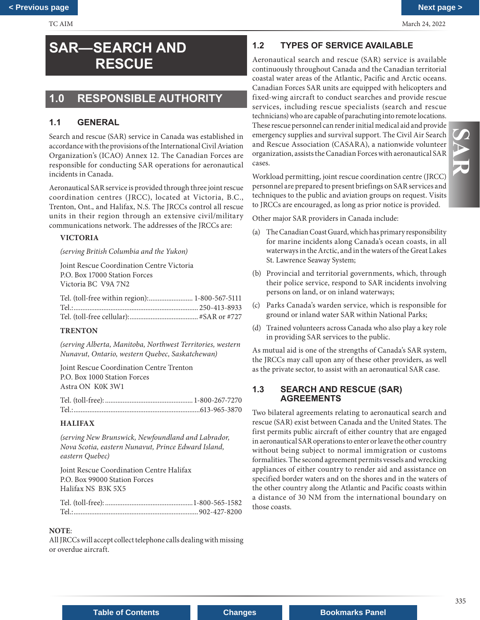# <span id="page-3-0"></span>**SAR—SEARCH AND RESCUE**

# **1.0 RESPONSIBLE AUTHORITY**

## **1.1 GENERAL**

Search and rescue (SAR) service in Canada was established in accordance with the provisions of the International Civil Aviation Organization's (ICAO) Annex 12. The Canadian Forces are responsible for conducting SAR operations for aeronautical incidents in Canada.

Aeronautical SAR service is provided through three joint rescue coordination centres (JRCC), located at Victoria, B.C., Trenton, Ont., and Halifax, N.S. The JRCCs control all rescue units in their region through an extensive civil/military communications network. The addresses of the JRCCs are:

## **VICTORIA**

*(serving British Columbia and the Yukon)*

Joint Rescue Coordination Centre Victoria P.O. Box 17000 Station Forces Victoria BC V9A 7N2

| Tel. (toll-free within region): 1-800-567-5111 |  |
|------------------------------------------------|--|
|                                                |  |
|                                                |  |

## **TRENTON**

*(serving Alberta, Manitoba, Northwest Territories, western Nunavut, Ontario, western Quebec, Saskatchewan)*

Joint Rescue Coordination Centre Trenton P.O. Box 1000 Station Forces Astra ON K0K 3W1

## **HALIFAX**

*(serving New Brunswick, Newfoundland and Labrador, Nova Scotia, eastern Nunavut, Prince Edward Island, eastern Quebec)* 

Joint Rescue Coordination Centre Halifax P.O. Box 99000 Station Forces Halifax NS B3K 5X5

Tel. (toll-free): ..................................................1-800-565-1582 Tel.:.......................................................................902-427-8200

## **NOTE**:

All JRCCs will accept collect telephone calls dealing with missing or overdue aircraft.

## **1.2 TYPES OF SERVICE AVAILABLE**

Aeronautical search and rescue (SAR) service is available continuously throughout Canada and the Canadian territorial coastal water areas of the Atlantic, Pacific and Arctic oceans. Canadian Forces SAR units are equipped with helicopters and fixed-wing aircraft to conduct searches and provide rescue services, including rescue specialists (search and rescue technicians) who are capable of parachuting into remote locations. These rescue personnel can render initial medical aid and provide emergency supplies and survival support. The Civil Air Search and Rescue Association (CASARA), a nationwide volunteer organization, assists the Canadian Forces with aeronautical SAR cases.

335 **SAR**  $\overline{a}$ 

Workload permitting, joint rescue coordination centre (JRCC) personnel are prepared to present briefings on SAR services and techniques to the public and aviation groups on request. Visits to JRCCs are encouraged, as long as prior notice is provided.

Other major SAR providers in Canada include:

- (a) The Canadian Coast Guard, which has primary responsibility for marine incidents along Canada's ocean coasts, in all waterways in the Arctic, and in the waters of the Great Lakes St. Lawrence Seaway System;
- (b) Provincial and territorial governments, which, through their police service, respond to SAR incidents involving persons on land, or on inland waterways;
- (c) Parks Canada's warden service, which is responsible for ground or inland water SAR within National Parks;
- (d) Trained volunteers across Canada who also play a key role in providing SAR services to the public.

As mutual aid is one of the strengths of Canada's SAR system, the JRCCs may call upon any of these other providers, as well as the private sector, to assist with an aeronautical SAR case.

## **1.3 SEARCH AND RESCUE (SAR) AGREEMENTS**

Two bilateral agreements relating to aeronautical search and rescue (SAR) exist between Canada and the United States. The first permits public aircraft of either country that are engaged in aeronautical SAR operations to enter or leave the other country without being subject to normal immigration or customs formalities. The second agreement permits vessels and wrecking appliances of either country to render aid and assistance on specified border waters and on the shores and in the waters of the other country along the Atlantic and Pacific coasts within a distance of 30 NM from the international boundary on those coasts.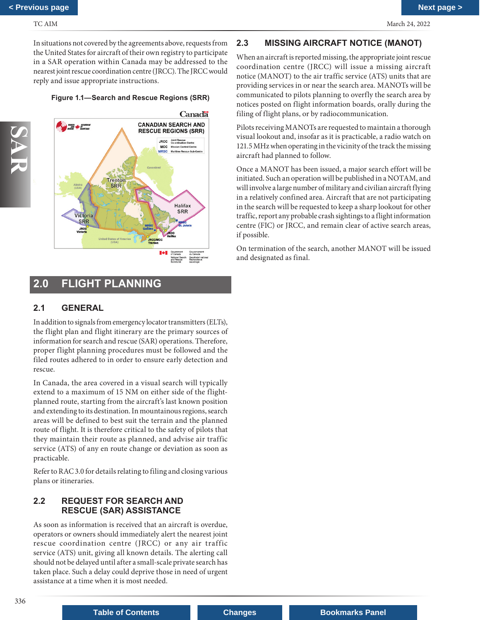<span id="page-4-0"></span>In situations not covered by the agreements above, requests from the United States for aircraft of their own registry to participate in a SAR operation within Canada may be addressed to the nearest joint rescue coordination centre (JRCC). The JRCC would reply and issue appropriate instructions.

## **Figure 1.1—Search and Rescue Regions (SRR)**



# **2.0 FLIGHT PLANNING**

## **2.1 GENERAL**

In addition to signals from emergency locator transmitters (ELTs), the flight plan and flight itinerary are the primary sources of information for search and rescue (SAR) operations. Therefore, proper flight planning procedures must be followed and the filed routes adhered to in order to ensure early detection and rescue.

In Canada, the area covered in a visual search will typically extend to a maximum of 15 NM on either side of the flightplanned route, starting from the aircraft's last known position and extending to its destination. In mountainous regions, search areas will be defined to best suit the terrain and the planned route of flight. It is therefore critical to the safety of pilots that they maintain their route as planned, and advise air traffic service (ATS) of any en route change or deviation as soon as practicable.

Refer to RAC 3.0 for details relating to filing and closing various plans or itineraries.

## **2.2 REQUEST FOR SEARCH AND RESCUE (SAR) ASSISTANCE**

As soon as information is received that an aircraft is overdue, operators or owners should immediately alert the nearest joint rescue coordination centre (JRCC) or any air traffic service (ATS) unit, giving all known details. The alerting call should not be delayed until after a small-scale private search has taken place. Such a delay could deprive those in need of urgent assistance at a time when it is most needed.

## **2.3 MISSING AIRCRAFT NOTICE (MANOT)**

When an aircraft is reported missing, the appropriate joint rescue coordination centre (JRCC) will issue a missing aircraft notice (MANOT) to the air traffic service (ATS) units that are providing services in or near the search area. MANOTs will be communicated to pilots planning to overfly the search area by notices posted on flight information boards, orally during the filing of flight plans, or by radiocommunication.

Pilots receiving MANOTs are requested to maintain a thorough visual lookout and, insofar as it is practicable, a radio watch on 121.5 MHz when operating in the vicinity of the track the missing aircraft had planned to follow.

Once a MANOT has been issued, a major search effort will be initiated. Such an operation will be published in a NOTAM, and will involve a large number of military and civilian aircraft flying in a relatively confined area. Aircraft that are not participating in the search will be requested to keep a sharp lookout for other traffic, report any probable crash sightings to a flight information centre (FIC) or JRCC, and remain clear of active search areas, if possible.

On termination of the search, another MANOT will be issued and designated as final.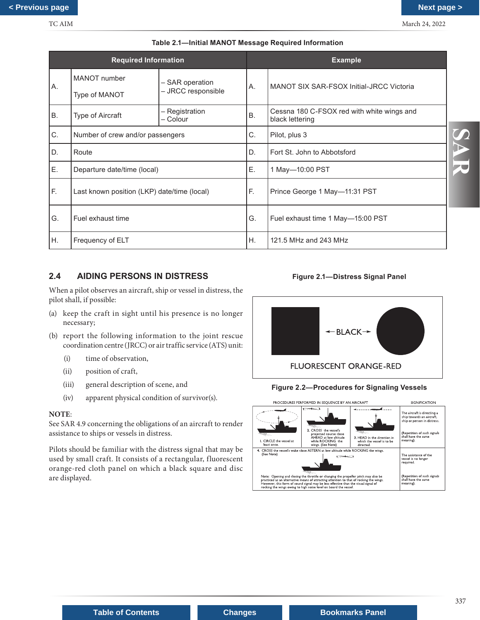<span id="page-5-0"></span>

| <b>Required Information</b> |                                             | <b>Example</b>                        |                             |                                                               |
|-----------------------------|---------------------------------------------|---------------------------------------|-----------------------------|---------------------------------------------------------------|
| Α.                          | MANOT number<br>Type of MANOT               | – SAR operation<br>- JRCC responsible | Α.                          | MANOT SIX SAR-FSOX Initial-JRCC Victoria                      |
| <b>B.</b>                   | Type of Aircraft                            | - Registration<br>– Colour            | B.                          | Cessna 180 C-FSOX red with white wings and<br>black lettering |
| C.                          | Number of crew and/or passengers            |                                       | C.                          | Pilot, plus 3                                                 |
| D.<br>Route                 |                                             | D.                                    | Fort St. John to Abbotsford |                                                               |
| Ε.                          | Departure date/time (local)                 |                                       | Ε.                          | 1 May-10:00 PST                                               |
| F.                          | Last known position (LKP) date/time (local) |                                       | F.                          | Prince George 1 May-11:31 PST                                 |
| G.                          | Fuel exhaust time                           |                                       | G.                          | Fuel exhaust time 1 May-15:00 PST                             |
| Η.                          | Frequency of ELT                            |                                       | Η.                          | 121.5 MHz and 243 MHz                                         |

#### **Table 2.1—Initial MANOT Message Required Information**

## **2.4 AIDING PERSONS IN DISTRESS**

When a pilot observes an aircraft, ship or vessel in distress, the pilot shall, if possible:

- (a) keep the craft in sight until his presence is no longer necessary;
- (b) report the following information to the joint rescue coordination centre (JRCC) or air traffic service (ATS) unit:
	- (i) time of observation,
	- (ii) position of craft,
	- (iii) general description of scene, and
	- (iv) apparent physical condition of survivor(s).

#### **NOTE**:

See SAR 4.9 concerning the obligations of an aircraft to render assistance to ships or vessels in distress.

Pilots should be familiar with the distress signal that may be used by small craft. It consists of a rectangular, fluorescent orange-red cloth panel on which a black square and disc are displayed.









**Table of Contents Changes Bookmarks Panel**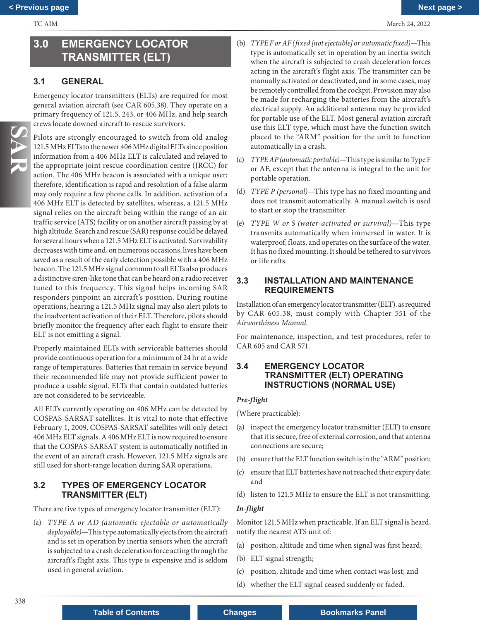## <span id="page-6-0"></span>**3.0 EMERGENCY LOCATOR TRANSMITTER (ELT)**

## **3.1 GENERAL**

Emergency locator transmitters (ELTs) are required for most general aviation aircraft (see CAR 605.38). They operate on a primary frequency of 121.5, 243, or 406 MHz, and help search crews locate downed aircraft to rescue survivors.

Pilots are strongly encouraged to switch from old analog 121.5 MHz ELTs to the newer 406 MHz digital ELTs since position information from a 406 MHz ELT is calculated and relayed to the appropriate joint rescue coordination centre (JRCC) for action. The 406 MHz beacon is associated with a unique user; therefore, identification is rapid and resolution of a false alarm may only require a few phone calls. In addition, activation of a 406 MHz ELT is detected by satellites, whereas, a 121.5 MHz signal relies on the aircraft being within the range of an air traffic service (ATS) facility or on another aircraft passing by at high altitude. Search and rescue (SAR) response could be delayed for several hours when a 121.5 MHz ELT is activated. Survivability decreases with time and, on numerous occasions, lives have been saved as a result of the early detection possible with a 406 MHz beacon. The 121.5 MHz signal common to all ELTs also produces a distinctive siren-like tone that can be heard on a radio receiver tuned to this frequency. This signal helps incoming SAR responders pinpoint an aircraft's position. During routine operations, hearing a 121.5 MHz signal may also alert pilots to the inadvertent activation of their ELT. Therefore, pilots should briefly monitor the frequency after each flight to ensure their ELT is not emitting a signal.

Properly maintained ELTs with serviceable batteries should provide continuous operation for a minimum of 24 hr at a wide range of temperatures. Batteries that remain in service beyond their recommended life may not provide sufficient power to produce a usable signal. ELTs that contain outdated batteries are not considered to be serviceable.

All ELTs currently operating on 406 MHz can be detected by COSPAS-SARSAT satellites. It is vital to note that effective February 1, 2009, COSPAS-SARSAT satellites will only detect 406 MHz ELT signals. A 406 MHz ELT is now required to ensure that the COSPAS-SARSAT system is automatically notified in the event of an aircraft crash. However, 121.5 MHz signals are still used for short-range location during SAR operations.

## **3.2 TYPES OF EMERGENCY LOCATOR TRANSMITTER (ELT)**

There are five types of emergency locator transmitter (ELT):

(a) *TYPE A or AD (automatic ejectable or automatically deployable)*—This type automatically ejects from the aircraft and is set in operation by inertia sensors when the aircraft is subjected to a crash deceleration force acting through the aircraft's flight axis. This type is expensive and is seldom used in general aviation.

- (b) *TYPE F or AF (fixed [not ejectable] or automatic fixed)*—This type is automatically set in operation by an inertia switch when the aircraft is subjected to crash deceleration forces acting in the aircraft's flight axis. The transmitter can be manually activated or deactivated, and in some cases, may be remotely controlled from the cockpit. Provision may also be made for recharging the batteries from the aircraft's electrical supply. An additional antenna may be provided for portable use of the ELT. Most general aviation aircraft use this ELT type, which must have the function switch placed to the "ARM" position for the unit to function automatically in a crash.
- (c) *TYPE AP (automatic portable)*—This type is similar to Type F or AF, except that the antenna is integral to the unit for portable operation.
- (d) *TYPE P (personal)*—This type has no fixed mounting and does not transmit automatically. A manual switch is used to start or stop the transmitter.
- (e) *TYPE W or S (water-activated or survival)*—This type transmits automatically when immersed in water. It is waterproof, floats, and operates on the surface of the water. It has no fixed mounting. It should be tethered to survivors or life rafts.

## **3.3 INSTALLATION AND MAINTENANCE REQUIREMENTS**

Installation of an emergency locator transmitter (ELT), as required by CAR 605.38, must comply with Chapter 551 of the *Airworthiness Manual*.

For maintenance, inspection, and test procedures, refer to CAR 605 and CAR 571.

## **3.4 EMERGENCY LOCATOR TRANSMITTER (ELT) OPERATING INSTRUCTIONS (NORMAL USE)**

#### *Pre-flight*

(Where practicable):

- (a) inspect the emergency locator transmitter (ELT) to ensure that it is secure, free of external corrosion, and that antenna connections are secure;
- (b) ensure that the ELT function switch is in the "ARM" position;
- (c) ensure that ELT batteries have not reached their expiry date; and
- (d) listen to 121.5 MHz to ensure the ELT is not transmitting.

#### *In-flight*

Monitor 121.5 MHz when practicable. If an ELT signal is heard, notify the nearest ATS unit of:

- (a) position, altitude and time when signal was first heard;
- (b) ELT signal strength;
- (c) position, altitude and time when contact was lost; and
- (d) whether the ELT signal ceased suddenly or faded.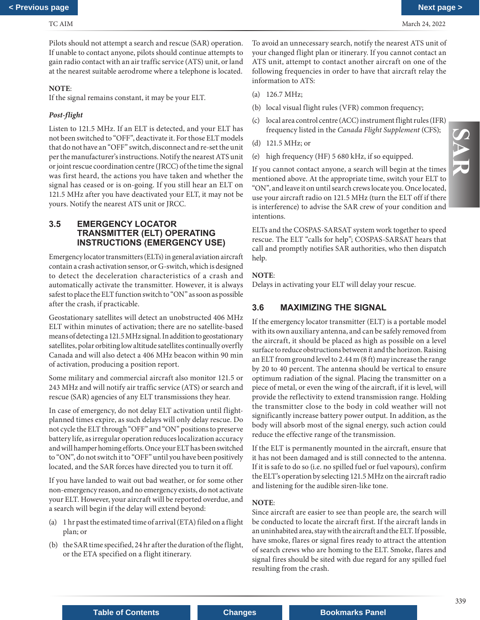<span id="page-7-0"></span>Pilots should not attempt a search and rescue (SAR) operation. If unable to contact anyone, pilots should continue attempts to gain radio contact with an air traffic service (ATS) unit, or land at the nearest suitable aerodrome where a telephone is located.

#### **NOTE**:

If the signal remains constant, it may be your ELT.

## *Post-flight*

Listen to 121.5 MHz. If an ELT is detected, and your ELT has not been switched to "OFF", deactivate it. For those ELT models that do not have an "OFF" switch, disconnect and re-set the unit per the manufacturer's instructions. Notify the nearest ATS unit or joint rescue coordination centre (JRCC) of the time the signal was first heard, the actions you have taken and whether the signal has ceased or is on-going. If you still hear an ELT on 121.5 MHz after you have deactivated your ELT, it may not be yours. Notify the nearest ATS unit or JRCC.

## **3.5 EMERGENCY LOCATOR TRANSMITTER (ELT) OPERATING INSTRUCTIONS (EMERGENCY USE)**

Emergency locator transmitters (ELTs) in general aviation aircraft contain a crash activation sensor, or G-switch, which is designed to detect the deceleration characteristics of a crash and automatically activate the transmitter. However, it is always safest to place the ELT function switch to "ON" as soon as possible after the crash, if practicable.

Geostationary satellites will detect an unobstructed 406 MHz ELT within minutes of activation; there are no satellite-based means of detecting a 121.5 MHz signal. In addition to geostationary satellites, polar orbiting low altitude satellites continually overfly Canada and will also detect a 406 MHz beacon within 90 min of activation, producing a position report.

Some military and commercial aircraft also monitor 121.5 or 243 MHz and will notify air traffic service (ATS) or search and rescue (SAR) agencies of any ELT transmissions they hear.

In case of emergency, do not delay ELT activation until flightplanned times expire, as such delays will only delay rescue. Do not cycle the ELT through "OFF" and "ON" positions to preserve battery life, as irregular operation reduces localization accuracy and will hamper homing efforts. Once your ELT has been switched to "ON", do not switch it to "OFF" until you have been positively located, and the SAR forces have directed you to turn it off.

If you have landed to wait out bad weather, or for some other non-emergency reason, and no emergency exists, do not activate your ELT. However, your aircraft will be reported overdue, and a search will begin if the delay will extend beyond:

- (a) 1 hr past the estimated time of arrival (ETA) filed on a flight plan; or
- (b) the SAR time specified, 24 hr after the duration of the flight, or the ETA specified on a flight itinerary.

To avoid an unnecessary search, notify the nearest ATS unit of your changed flight plan or itinerary. If you cannot contact an ATS unit, attempt to contact another aircraft on one of the following frequencies in order to have that aircraft relay the information to ATS:

- (a) 126.7 MHz;
- (b) local visual flight rules (VFR) common frequency;
- (c) local area control centre (ACC) instrument flight rules (IFR) frequency listed in the *Canada Flight Supplement* (CFS);
- (d) 121.5 MHz; or
- (e) high frequency (HF) 5 680 kHz, if so equipped.

If you cannot contact anyone, a search will begin at the times mentioned above. At the appropriate time, switch your ELT to "ON", and leave it on until search crews locate you. Once located, use your aircraft radio on 121.5 MHz (turn the ELT off if there is interference) to advise the SAR crew of your condition and intentions.

ELTs and the COSPAS-SARSAT system work together to speed rescue. The ELT "calls for help"; COSPAS-SARSAT hears that call and promptly notifies SAR authorities, who then dispatch help.

### **NOTE**:

Delays in activating your ELT will delay your rescue.

## **3.6 MAXIMIZING THE SIGNAL**

If the emergency locator transmitter (ELT) is a portable model with its own auxiliary antenna, and can be safely removed from the aircraft, it should be placed as high as possible on a level surface to reduce obstructions between it and the horizon. Raising an ELT from ground level to 2.44 m (8 ft) may increase the range by 20 to 40 percent. The antenna should be vertical to ensure optimum radiation of the signal. Placing the transmitter on a piece of metal, or even the wing of the aircraft, if it is level, will provide the reflectivity to extend transmission range. Holding the transmitter close to the body in cold weather will not significantly increase battery power output. In addition, as the body will absorb most of the signal energy, such action could reduce the effective range of the transmission.

If the ELT is permanently mounted in the aircraft, ensure that it has not been damaged and is still connected to the antenna. If it is safe to do so (i.e. no spilled fuel or fuel vapours), confirm the ELT's operation by selecting 121.5 MHz on the aircraft radio and listening for the audible siren-like tone.

## **NOTE**:

Since aircraft are easier to see than people are, the search will be conducted to locate the aircraft first. If the aircraft lands in an uninhabited area, stay with the aircraft and the ELT. If possible, have smoke, flares or signal fires ready to attract the attention of search crews who are homing to the ELT. Smoke, flares and signal fires should be sited with due regard for any spilled fuel resulting from the crash.

**Table of Contents Changes Bookmarks Panel**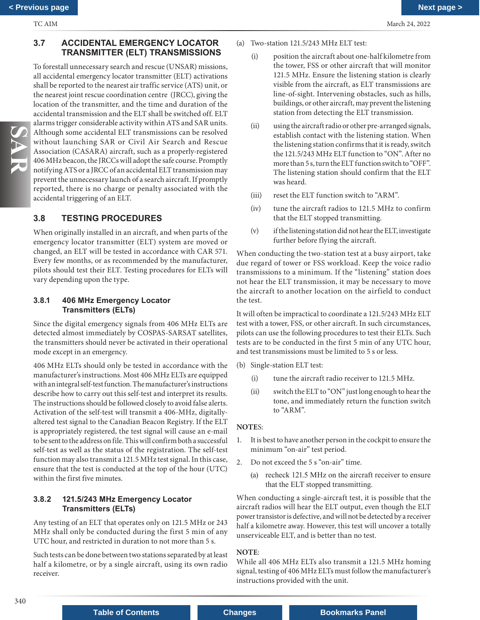## <span id="page-8-0"></span>**3.7 ACCIDENTAL EMERGENCY LOCATOR TRANSMITTER (ELT) TRANSMISSIONS**

To forestall unnecessary search and rescue (UNSAR) missions, all accidental emergency locator transmitter (ELT) activations shall be reported to the nearest air traffic service (ATS) unit, or the nearest joint rescue coordination centre (JRCC), giving the location of the transmitter, and the time and duration of the accidental transmission and the ELT shall be switched off. ELT alarms trigger considerable activity within ATS and SAR units. Although some accidental ELT transmissions can be resolved without launching SAR or Civil Air Search and Rescue Association (CASARA) aircraft, such as a properly-registered 406 MHz beacon, the JRCCs will adopt the safe course. Promptly notifying ATS or a JRCC of an accidental ELT transmission may prevent the unnecessary launch of a search aircraft. If promptly reported, there is no charge or penalty associated with the accidental triggering of an ELT.

## **3.8 TESTING PROCEDURES**

When originally installed in an aircraft, and when parts of the emergency locator transmitter (ELT) system are moved or changed, an ELT will be tested in accordance with CAR 571. Every few months, or as recommended by the manufacturer, pilots should test their ELT. Testing procedures for ELTs will vary depending upon the type.

## **3.8.1 406 MHz Emergency Locator Transmitters (ELTs)**

Since the digital emergency signals from 406 MHz ELTs are detected almost immediately by COSPAS-SARSAT satellites, the transmitters should never be activated in their operational mode except in an emergency.

406 MHz ELTs should only be tested in accordance with the manufacturer's instructions. Most 406 MHz ELTs are equipped with an integral self-test function. The manufacturer's instructions describe how to carry out this self-test and interpret its results. The instructions should be followed closely to avoid false alerts. Activation of the self-test will transmit a 406-MHz, digitallyaltered test signal to the Canadian Beacon Registry. If the ELT is appropriately registered, the test signal will cause an e-mail to be sent to the address on file. This will confirm both a successful self-test as well as the status of the registration. The self-test function may also transmit a 121.5 MHz test signal. In this case, ensure that the test is conducted at the top of the hour (UTC) within the first five minutes.

## **3.8.2 121.5/243 MHz Emergency Locator Transmitters (ELTs)**

Any testing of an ELT that operates only on 121.5 MHz or 243 MHz shall only be conducted during the first 5 min of any UTC hour, and restricted in duration to not more than 5 s.

Such tests can be done between two stations separated by at least half a kilometre, or by a single aircraft, using its own radio receiver.

- (a) Two-station 121.5/243 MHz ELT test:
	- (i) position the aircraft about one-half kilometre from the tower, FSS or other aircraft that will monitor 121.5 MHz. Ensure the listening station is clearly visible from the aircraft, as ELT transmissions are line-of-sight. Intervening obstacles, such as hills, buildings, or other aircraft, may prevent the listening station from detecting the ELT transmission.
	- (ii) using the aircraft radio or other pre-arranged signals, establish contact with the listening station. When the listening station confirms that it is ready, switch the 121.5/243 MHz ELT function to "ON". After no more than 5 s, turn the ELT function switch to "OFF". The listening station should confirm that the ELT was heard.
	- (iii) reset the ELT function switch to "ARM".
	- (iv) tune the aircraft radios to 121.5 MHz to confirm that the ELT stopped transmitting.
	- (v) if the listening station did not hear the ELT, investigate further before flying the aircraft.

When conducting the two-station test at a busy airport, take due regard of tower or FSS workload. Keep the voice radio transmissions to a minimum. If the "listening" station does not hear the ELT transmission, it may be necessary to move the aircraft to another location on the airfield to conduct the test.

It will often be impractical to coordinate a 121.5/243 MHz ELT test with a tower, FSS, or other aircraft. In such circumstances, pilots can use the following procedures to test their ELTs. Such tests are to be conducted in the first 5 min of any UTC hour, and test transmissions must be limited to 5 s or less.

- (b) Single-station ELT test:
	- (i) tune the aircraft radio receiver to 121.5 MHz.
	- (ii) switch the ELT to "ON" just long enough to hear the tone, and immediately return the function switch to "ARM".

## **NOTE**S:

- 1. It is best to have another person in the cockpit to ensure the minimum "on-air" test period.
- 2. Do not exceed the 5 s "on-air" time.
	- (a) recheck 121.5 MHz on the aircraft receiver to ensure that the ELT stopped transmitting.

When conducting a single-aircraft test, it is possible that the aircraft radios will hear the ELT output, even though the ELT power transistor is defective, and will not be detected by a receiver half a kilometre away. However, this test will uncover a totally unserviceable ELT, and is better than no test.

## **NOTE**:

While all 406 MHz ELTs also transmit a 121.5 MHz homing signal, testing of 406 MHz ELTs must follow the manufacturer's instructions provided with the unit.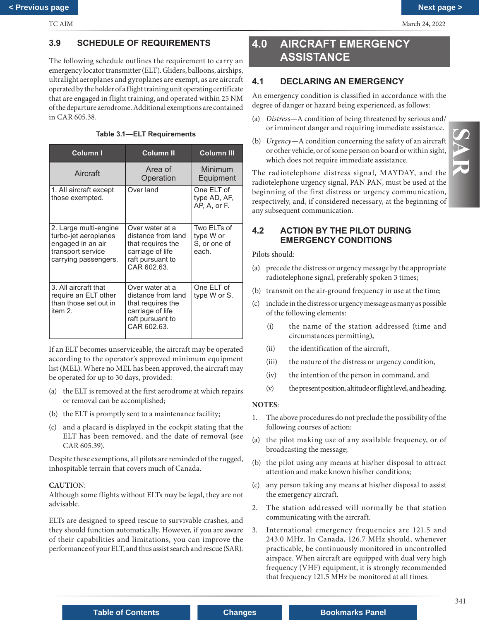N<br>N<br>N

## <span id="page-9-0"></span>**3.9 SCHEDULE OF REQUIREMENTS**

The following schedule outlines the requirement to carry an emergency locator transmitter (ELT). Gliders, balloons, airships, ultralight aeroplanes and gyroplanes are exempt, as are aircraft operated by the holder of a flight training unit operating certificate that are engaged in flight training, and operated within 25 NM of the departure aerodrome. Additional exemptions are contained in CAR 605.38.

## **Table 3.1—ELT Requirements**

| Column I                                                                                                        | <b>Column II</b>                                                                                                  | <b>Column III</b>                                 |
|-----------------------------------------------------------------------------------------------------------------|-------------------------------------------------------------------------------------------------------------------|---------------------------------------------------|
| Aircraft                                                                                                        | Area of<br>Operation                                                                                              | Minimum<br>Equipment                              |
| 1. All aircraft except<br>those exempted.                                                                       | Over land                                                                                                         | One ELT of<br>type AD, AF,<br>AP, A, or F.        |
| 2. Large multi-engine<br>turbo-jet aeroplanes<br>engaged in an air<br>transport service<br>carrying passengers. | Over water at a<br>distance from land<br>that requires the<br>carriage of life<br>raft pursuant to<br>CAR 602.63. | Two ELTs of<br>type W or<br>S, or one of<br>each. |
| 3. All aircraft that<br>require an ELT other<br>than those set out in<br>item 2.                                | Over water at a<br>distance from land<br>that requires the<br>carriage of life<br>raft pursuant to<br>CAR 602.63. | One ELT of<br>type W or S.                        |

If an ELT becomes unserviceable, the aircraft may be operated according to the operator's approved minimum equipment list (MEL). Where no MEL has been approved, the aircraft may be operated for up to 30 days, provided:

- (a) the ELT is removed at the first aerodrome at which repairs or removal can be accomplished;
- (b) the ELT is promptly sent to a maintenance facility;
- (c) and a placard is displayed in the cockpit stating that the ELT has been removed, and the date of removal (see CAR 605.39).

Despite these exemptions, all pilots are reminded of the rugged, inhospitable terrain that covers much of Canada.

## **CAUT**ION:

Although some flights without ELTs may be legal, they are not advisable.

ELTs are designed to speed rescue to survivable crashes, and they should function automatically. However, if you are aware of their capabilities and limitations, you can improve the performance of your ELT, and thus assist search and rescue (SAR).

## **4.0 AIRCRAFT EMERGENCY ASSISTANCE**

## **4.1 DECLARING AN EMERGENCY**

An emergency condition is classified in accordance with the degree of danger or hazard being experienced, as follows:

- (a) *Distress*—A condition of being threatened by serious and/ or imminent danger and requiring immediate assistance.
- (b) *Urgency*—A condition concerning the safety of an aircraft or other vehicle, or of some person on board or within sight, which does not require immediate assistance.

The radiotelephone distress signal, MAYDAY, and the radiotelephone urgency signal, PAN PAN, must be used at the beginning of the first distress or urgency communication, respectively, and, if considered necessary, at the beginning of any subsequent communication.

## **4.2 ACTION BY THE PILOT DURING EMERGENCY CONDITIONS**

Pilots should:

- (a) precede the distress or urgency message by the appropriate radiotelephone signal, preferably spoken 3 times;
- (b) transmit on the air-ground frequency in use at the time;
- (c) include in the distress or urgency message as many as possible of the following elements:
	- (i) the name of the station addressed (time and circumstances permitting),
	- (ii) the identification of the aircraft,
	- (iii) the nature of the distress or urgency condition,
	- (iv) the intention of the person in command, and
	- (v) the present position, altitude or flight level, and heading.

## **NOTES**:

- 1. The above procedures do not preclude the possibility of the following courses of action:
- (a) the pilot making use of any available frequency, or of broadcasting the message;
- (b) the pilot using any means at his/her disposal to attract attention and make known his/her conditions;
- (c) any person taking any means at his/her disposal to assist the emergency aircraft.
- 2. The station addressed will normally be that station communicating with the aircraft.
- 3. International emergency frequencies are 121.5 and 243.0 MHz. In Canada, 126.7 MHz should, whenever practicable, be continuously monitored in uncontrolled airspace. When aircraft are equipped with dual very high frequency (VHF) equipment, it is strongly recommended that frequency 121.5 MHz be monitored at all times.

## **Table of Contents <b>Changes Bookmarks Panel**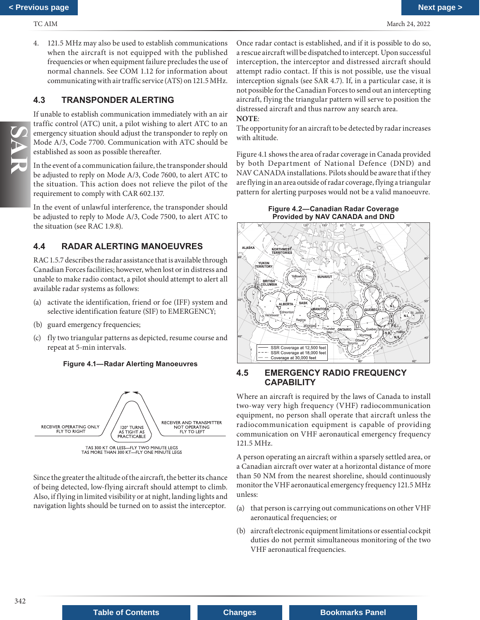<span id="page-10-0"></span>4. 121.5 MHz may also be used to establish communications when the aircraft is not equipped with the published frequencies or when equipment failure precludes the use of normal channels. See COM 1.12 for information about communicating with air traffic service (ATS) on 121.5 MHz.

## **4.3 TRANSPONDER ALERTING**

If unable to establish communication immediately with an air traffic control (ATC) unit, a pilot wishing to alert ATC to an emergency situation should adjust the transponder to reply on Mode A/3, Code 7700. Communication with ATC should be established as soon as possible thereafter.

In the event of a communication failure, the transponder should be adjusted to reply on Mode A/3, Code 7600, to alert ATC to the situation. This action does not relieve the pilot of the requirement to comply with CAR 602.137*.* 

In the event of unlawful interference, the transponder should be adjusted to reply to Mode A/3, Code 7500, to alert ATC to the situation (see RAC 1.9.8).

## **4.4 RADAR ALERTING MANOEUVRES**

RAC 1.5.7 describes the radar assistance that is available through Canadian Forces facilities; however, when lost or in distress and unable to make radio contact, a pilot should attempt to alert all available radar systems as follows:

- (a) activate the identification, friend or foe (IFF) system and selective identification feature (SIF) to EMERGENCY;
- (b) guard emergency frequencies;
- (c) fly two triangular patterns as depicted, resume course and repeat at 5-min intervals.

**Figure 4.1—Radar Alerting Manoeuvres**



Since the greater the altitude of the aircraft, the better its chance of being detected, low-flying aircraft should attempt to climb. Also, if flying in limited visibility or at night, landing lights and navigation lights should be turned on to assist the interceptor.

Once radar contact is established, and if it is possible to do so, a rescue aircraft will be dispatched to intercept. Upon successful interception, the interceptor and distressed aircraft should attempt radio contact. If this is not possible, use the visual interception signals (see SAR 4.7). If, in a particular case, it is not possible for the Canadian Forces to send out an intercepting aircraft, flying the triangular pattern will serve to position the distressed aircraft and thus narrow any search area.

## **NOTE**:

The opportunity for an aircraft to be detected by radar increases with altitude.

Figure 4.1 shows the area of radar coverage in Canada provided by both Department of National Defence (DND) and NAV CANADA installations. Pilots should be aware that if they are flying in an area outside of radar coverage, flying a triangular pattern for alerting purposes would not be a valid manoeuvre.

**Figure 4.2—Canadian Radar Coverage Provided by NAV CANADA and DND**<br>And the state of the state of the state of the state of the state of the state of the state of the state of the state of the state of the state of the state of the state of the state of the



## **4.5 EMERGENCY RADIO FREQUENCY CAPABILITY**

Where an aircraft is required by the laws of Canada to install two-way very high frequency (VHF) radiocommunication equipment, no person shall operate that aircraft unless the radiocommunication equipment is capable of providing communication on VHF aeronautical emergency frequency 121.5 MHz.

A person operating an aircraft within a sparsely settled area, or a Canadian aircraft over water at a horizontal distance of more than 50 NM from the nearest shoreline, should continuously monitor the VHF aeronautical emergency frequency 121.5 MHz unless:

- (a) that person is carrying out communications on other VHF aeronautical frequencies; or
- (b) aircraft electronic equipment limitations or essential cockpit duties do not permit simultaneous monitoring of the two VHF aeronautical frequencies.

**Table of Contents <b>Changes Bookmarks Panel**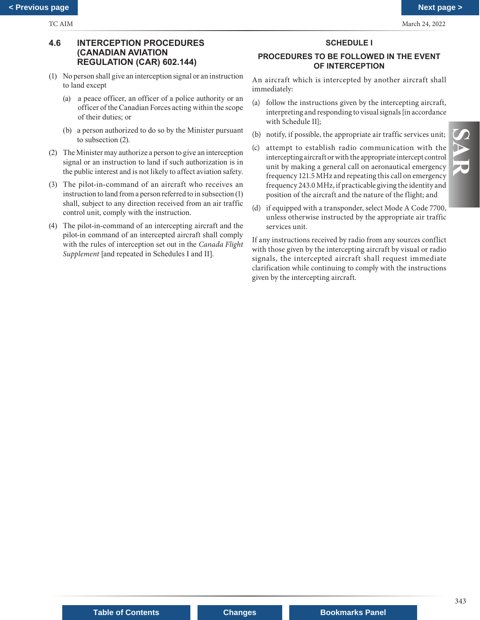## <span id="page-11-0"></span>**4.6 INTERCEPTION PROCEDURES (CANADIAN AVIATION REGULATION (CAR) 602.144)**

- (1) No person shall give an interception signal or an instruction to land except
	- (a) a peace officer, an officer of a police authority or an officer of the Canadian Forces acting within the scope of their duties; or
	- (b) a person authorized to do so by the Minister pursuant to subsection (2).
- (2) The Minister may authorize a person to give an interception signal or an instruction to land if such authorization is in the public interest and is not likely to affect aviation safety.
- (3) The pilot-in-command of an aircraft who receives an instruction to land from a person referred to in subsection (1) shall, subject to any direction received from an air traffic control unit, comply with the instruction.
- (4) The pilot-in-command of an intercepting aircraft and the pilot-in command of an intercepted aircraft shall comply with the rules of interception set out in the *Canada Flight Supplement* [and repeated in Schedules I and II].

## **SCHEDULE I**

## **PROCEDURES TO BE FOLLOWED IN THE EVENT OF INTERCEPTION**

An aircraft which is intercepted by another aircraft shall immediately:

- (a) follow the instructions given by the intercepting aircraft, interpreting and responding to visual signals [in accordance with Schedule II];
- (b) notify, if possible, the appropriate air traffic services unit;
- (c) attempt to establish radio communication with the intercepting aircraft or with the appropriate intercept control unit by making a general call on aeronautical emergency frequency 121.5 MHz and repeating this call on emergency frequency 243.0 MHz, if practicable giving the identity and position of the aircraft and the nature of the flight; and
- (d) if equipped with a transponder, select Mode A Code 7700, unless otherwise instructed by the appropriate air traffic services unit.

If any instructions received by radio from any sources conflict with those given by the intercepting aircraft by visual or radio signals, the intercepted aircraft shall request immediate clarification while continuing to comply with the instructions given by the intercepting aircraft.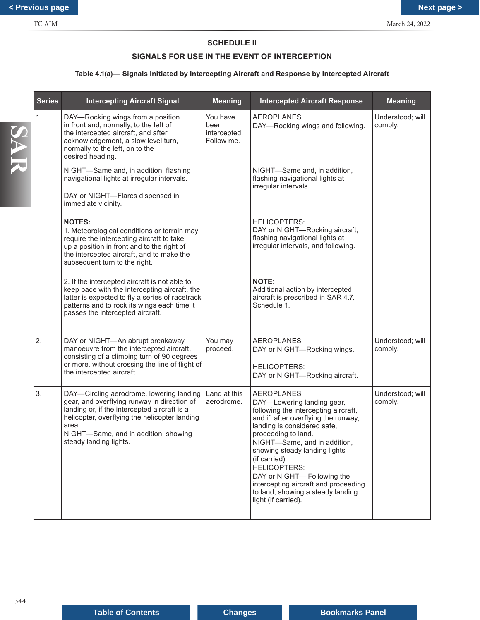## **SCHEDULE II**

## **SIGNALS FOR USE IN THE EVENT OF INTERCEPTION**

## **Table 4.1(a)— Signals Initiated by Intercepting Aircraft and Response by Intercepted Aircraft**

|     | <b>Series</b> | <b>Intercepting Aircraft Signal</b>                                                                                                                                                                                                                                 | <b>Meaning</b>                                 | <b>Intercepted Aircraft Response</b>                                                                                                                                                                                                                                                                                                                                                                                        | <b>Meaning</b>              |
|-----|---------------|---------------------------------------------------------------------------------------------------------------------------------------------------------------------------------------------------------------------------------------------------------------------|------------------------------------------------|-----------------------------------------------------------------------------------------------------------------------------------------------------------------------------------------------------------------------------------------------------------------------------------------------------------------------------------------------------------------------------------------------------------------------------|-----------------------------|
| SAR | 1.            | DAY-Rocking wings from a position<br>in front and, normally, to the left of<br>the intercepted aircraft, and after<br>acknowledgement, a slow level turn,<br>normally to the left, on to the<br>desired heading.                                                    | You have<br>been<br>intercepted.<br>Follow me. | AEROPLANES:<br>DAY-Rocking wings and following.                                                                                                                                                                                                                                                                                                                                                                             | Understood; will<br>comply. |
|     |               | NIGHT-Same and, in addition, flashing<br>navigational lights at irregular intervals.<br>DAY or NIGHT-Flares dispensed in<br>immediate vicinity.                                                                                                                     |                                                | NIGHT-Same and, in addition,<br>flashing navigational lights at<br>irregular intervals.                                                                                                                                                                                                                                                                                                                                     |                             |
|     |               | <b>NOTES:</b><br>1. Meteorological conditions or terrain may<br>require the intercepting aircraft to take<br>up a position in front and to the right of<br>the intercepted aircraft, and to make the<br>subsequent turn to the right.                               |                                                | <b>HELICOPTERS:</b><br>DAY or NIGHT-Rocking aircraft,<br>flashing navigational lights at<br>irregular intervals, and following.                                                                                                                                                                                                                                                                                             |                             |
|     |               | 2. If the intercepted aircraft is not able to<br>keep pace with the intercepting aircraft, the<br>latter is expected to fly a series of racetrack<br>patterns and to rock its wings each time it<br>passes the intercepted aircraft.                                |                                                | <b>NOTE:</b><br>Additional action by intercepted<br>aircraft is prescribed in SAR 4.7,<br>Schedule 1.                                                                                                                                                                                                                                                                                                                       |                             |
|     | 2.            | DAY or NIGHT-An abrupt breakaway<br>manoeuvre from the intercepted aircraft,<br>consisting of a climbing turn of 90 degrees<br>or more, without crossing the line of flight of<br>the intercepted aircraft.                                                         | You may<br>proceed.                            | AEROPLANES:<br>DAY or NIGHT-Rocking wings.<br><b>HELICOPTERS:</b><br>DAY or NIGHT-Rocking aircraft.                                                                                                                                                                                                                                                                                                                         | Understood; will<br>comply. |
|     | 3.            | DAY-Circling aerodrome, lowering landing<br>gear, and overflying runway in direction of<br>landing or, if the intercepted aircraft is a<br>helicopter, overflying the helicopter landing<br>area.<br>NIGHT-Same, and in addition, showing<br>steady landing lights. | Land at this<br>aerodrome.                     | AEROPLANES:<br>DAY-Lowering landing gear,<br>following the intercepting aircraft,<br>and if, after overflying the runway,<br>landing is considered safe,<br>proceeding to land.<br>NIGHT-Same, and in addition,<br>showing steady landing lights<br>(if carried).<br><b>HELICOPTERS:</b><br>DAY or NIGHT- Following the<br>intercepting aircraft and proceeding<br>to land, showing a steady landing<br>light (if carried). | Understood; will<br>comply. |
| 344 |               |                                                                                                                                                                                                                                                                     |                                                |                                                                                                                                                                                                                                                                                                                                                                                                                             |                             |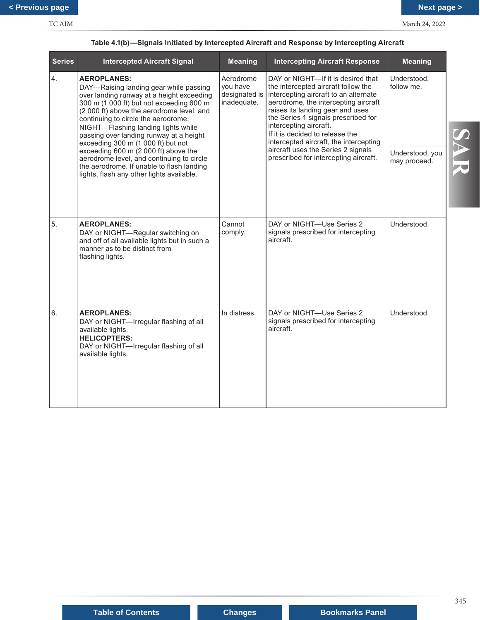| <b>Series</b> | <b>Intercepted Aircraft Signal</b>                                                                                                                                                                                                                                                                                                                                                                                                                                                                                                               | <b>Meaning</b>                                        | <b>Intercepting Aircraft Response</b>                                                                                                                                                                                                                                                                                                                                                                                       | <b>Meaning</b>                                               |     |
|---------------|--------------------------------------------------------------------------------------------------------------------------------------------------------------------------------------------------------------------------------------------------------------------------------------------------------------------------------------------------------------------------------------------------------------------------------------------------------------------------------------------------------------------------------------------------|-------------------------------------------------------|-----------------------------------------------------------------------------------------------------------------------------------------------------------------------------------------------------------------------------------------------------------------------------------------------------------------------------------------------------------------------------------------------------------------------------|--------------------------------------------------------------|-----|
| 4.            | <b>AEROPLANES:</b><br>DAY-Raising landing gear while passing<br>over landing runway at a height exceeding<br>300 m (1 000 ft) but not exceeding 600 m<br>(2 000 ft) above the aerodrome level, and<br>continuing to circle the aerodrome.<br>NIGHT-Flashing landing lights while<br>passing over landing runway at a height<br>exceeding 300 m (1 000 ft) but not<br>exceeding 600 m (2 000 ft) above the<br>aerodrome level, and continuing to circle<br>the aerodrome. If unable to flash landing<br>lights, flash any other lights available. | Aerodrome<br>you have<br>designated is<br>inadequate. | DAY or NIGHT-If it is desired that<br>the intercepted aircraft follow the<br>intercepting aircraft to an alternate<br>aerodrome, the intercepting aircraft<br>raises its landing gear and uses<br>the Series 1 signals prescribed for<br>intercepting aircraft.<br>If it is decided to release the<br>intercepted aircraft, the intercepting<br>aircraft uses the Series 2 signals<br>prescribed for intercepting aircraft. | Understood,<br>follow me.<br>Understood, you<br>may proceed. |     |
| 5.            | <b>AEROPLANES:</b><br>DAY or NIGHT-Regular switching on<br>and off of all available lights but in such a<br>manner as to be distinct from<br>flashing lights.                                                                                                                                                                                                                                                                                                                                                                                    | Cannot<br>comply.                                     | DAY or NIGHT-Use Series 2<br>signals prescribed for intercepting<br>aircraft                                                                                                                                                                                                                                                                                                                                                | Understood.                                                  |     |
| 6.            | <b>AEROPLANES:</b><br>DAY or NIGHT-Irregular flashing of all<br>available lights.<br><b>HELICOPTERS:</b><br>DAY or NIGHT-Irregular flashing of all<br>available lights.                                                                                                                                                                                                                                                                                                                                                                          | In distress.                                          | DAY or NIGHT-Use Series 2<br>signals prescribed for intercepting<br>aircraft.                                                                                                                                                                                                                                                                                                                                               | Understood.                                                  |     |
|               |                                                                                                                                                                                                                                                                                                                                                                                                                                                                                                                                                  |                                                       |                                                                                                                                                                                                                                                                                                                                                                                                                             |                                                              |     |
|               |                                                                                                                                                                                                                                                                                                                                                                                                                                                                                                                                                  |                                                       |                                                                                                                                                                                                                                                                                                                                                                                                                             |                                                              | 345 |

## **Table 4.1(b)—Signals Initiated by Intercepted Aircraft and Response by Intercepting Aircraft**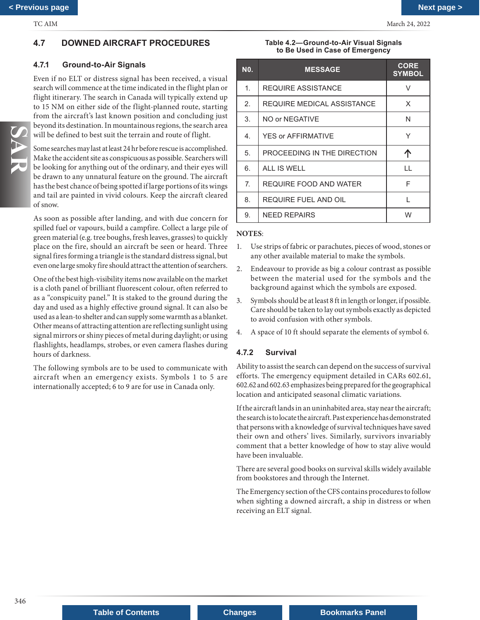## <span id="page-14-0"></span>**4.7 DOWNED AIRCRAFT PROCEDURES**

## **4.7.1 Ground-to-Air Signals**

Even if no ELT or distress signal has been received, a visual search will commence at the time indicated in the flight plan or flight itinerary. The search in Canada will typically extend up to 15 NM on either side of the flight-planned route, starting from the aircraft's last known position and concluding just beyond its destination. In mountainous regions, the search area will be defined to best suit the terrain and route of flight.

Some searches may last at least 24 hr before rescue is accomplished. Make the accident site as conspicuous as possible. Searchers will be looking for anything out of the ordinary, and their eyes will be drawn to any unnatural feature on the ground. The aircraft has the best chance of being spotted if large portions of its wings and tail are painted in vivid colours. Keep the aircraft cleared of snow.

As soon as possible after landing, and with due concern for spilled fuel or vapours, build a campfire. Collect a large pile of green material (e.g. tree boughs, fresh leaves, grasses) to quickly place on the fire, should an aircraft be seen or heard. Three signal fires forming a triangle is the standard distress signal, but even one large smoky fire should attract the attention of searchers.

One of the best high-visibility items now available on the market is a cloth panel of brilliant fluorescent colour, often referred to as a "conspicuity panel." It is staked to the ground during the day and used as a highly effective ground signal. It can also be used as a lean-to shelter and can supply some warmth as a blanket. Other means of attracting attention are reflecting sunlight using signal mirrors or shiny pieces of metal during daylight; or using flashlights, headlamps, strobes, or even camera flashes during hours of darkness.

The following symbols are to be used to communicate with aircraft when an emergency exists. Symbols 1 to 5 are internationally accepted; 6 to 9 are for use in Canada only.

**Table 4.2—Ground-to-Air Visual Signals to Be Used in Case of Emergency**

| <b>NO.</b>     | <b>MESSAGE</b>              | <b>CORE</b><br><b>SYMBOL</b> |
|----------------|-----------------------------|------------------------------|
| $\mathbf{1}$ . | <b>REQUIRE ASSISTANCE</b>   | V                            |
| 2 <sup>2</sup> | REQUIRE MEDICAL ASSISTANCE  | X                            |
| 3.             | NO or NEGATIVE              | N                            |
| 4.             | YES or AFFIRMATIVE          | Υ                            |
| 5.             | PROCEEDING IN THE DIRECTION | ጥ                            |
| 6.             | ALL IS WELL                 | H                            |
| 7.             | REQUIRE FOOD AND WATER      | F                            |
| 8.             | REQUIRE FUEL AND OIL        | L                            |
| 9.             | <b>NEED REPAIRS</b>         | W                            |

#### **NOTES**:

- 1. Use strips of fabric or parachutes, pieces of wood, stones or any other available material to make the symbols.
- 2. Endeavour to provide as big a colour contrast as possible between the material used for the symbols and the background against which the symbols are exposed.
- 3. Symbols should be at least 8 ft in length or longer, if possible. Care should be taken to lay out symbols exactly as depicted to avoid confusion with other symbols.
- 4. A space of 10 ft should separate the elements of symbol 6.

### **4.7.2 Survival**

Ability to assist the search can depend on the success of survival efforts. The emergency equipment detailed in CARs 602.61, 602.62 and 602.63 emphasizes being prepared for the geographical location and anticipated seasonal climatic variations.

If the aircraft lands in an uninhabited area, stay near the aircraft; the search is to locate the aircraft. Past experience has demonstrated that persons with a knowledge of survival techniques have saved their own and others' lives. Similarly, survivors invariably comment that a better knowledge of how to stay alive would have been invaluable.

There are several good books on survival skills widely available from bookstores and through the Internet.

The Emergency section of the CFS contains procedures to follow when sighting a downed aircraft, a ship in distress or when receiving an ELT signal.